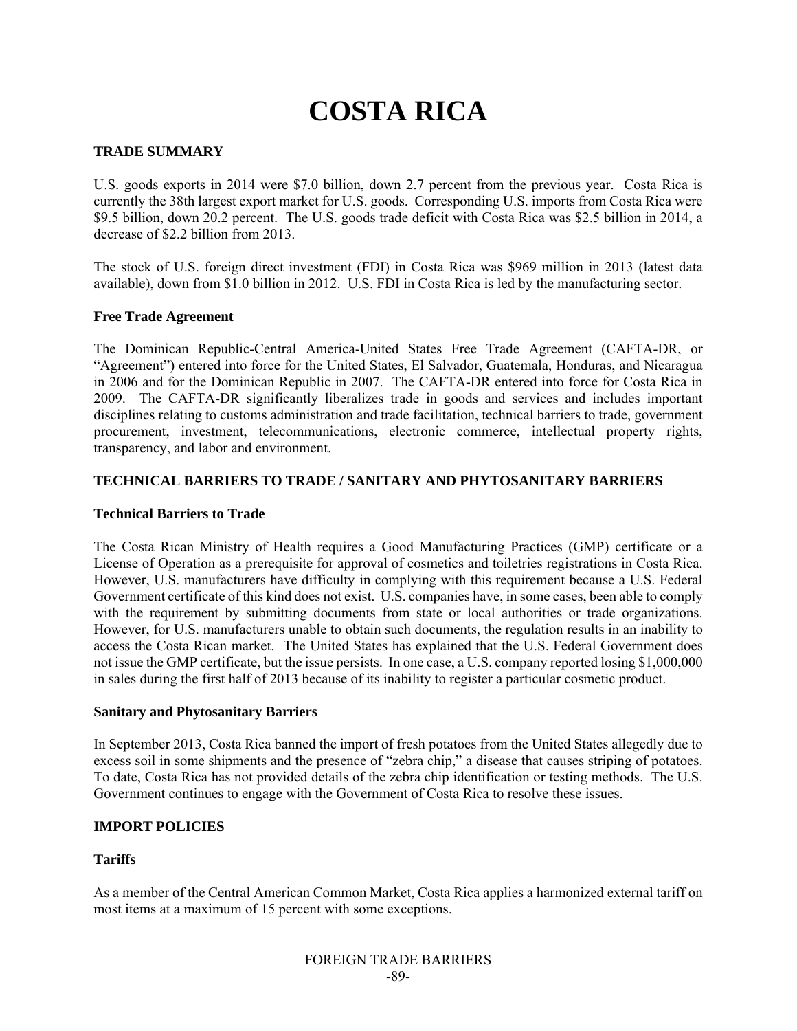# **COSTA RICA**

# **TRADE SUMMARY**

U.S. goods exports in 2014 were \$7.0 billion, down 2.7 percent from the previous year. Costa Rica is currently the 38th largest export market for U.S. goods. Corresponding U.S. imports from Costa Rica were \$9.5 billion, down 20.2 percent. The U.S. goods trade deficit with Costa Rica was \$2.5 billion in 2014, a decrease of \$2.2 billion from 2013.

The stock of U.S. foreign direct investment (FDI) in Costa Rica was \$969 million in 2013 (latest data available), down from \$1.0 billion in 2012. U.S. FDI in Costa Rica is led by the manufacturing sector.

## **Free Trade Agreement**

The Dominican Republic-Central America-United States Free Trade Agreement (CAFTA-DR, or "Agreement") entered into force for the United States, El Salvador, Guatemala, Honduras, and Nicaragua in 2006 and for the Dominican Republic in 2007. The CAFTA-DR entered into force for Costa Rica in 2009. The CAFTA-DR significantly liberalizes trade in goods and services and includes important disciplines relating to customs administration and trade facilitation, technical barriers to trade, government procurement, investment, telecommunications, electronic commerce, intellectual property rights, transparency, and labor and environment.

#### **TECHNICAL BARRIERS TO TRADE / SANITARY AND PHYTOSANITARY BARRIERS**

#### **Technical Barriers to Trade**

The Costa Rican Ministry of Health requires a Good Manufacturing Practices (GMP) certificate or a License of Operation as a prerequisite for approval of cosmetics and toiletries registrations in Costa Rica. However, U.S. manufacturers have difficulty in complying with this requirement because a U.S. Federal Government certificate of this kind does not exist. U.S. companies have, in some cases, been able to comply with the requirement by submitting documents from state or local authorities or trade organizations. However, for U.S. manufacturers unable to obtain such documents, the regulation results in an inability to access the Costa Rican market. The United States has explained that the U.S. Federal Government does not issue the GMP certificate, but the issue persists. In one case, a U.S. company reported losing \$1,000,000 in sales during the first half of 2013 because of its inability to register a particular cosmetic product.

#### **Sanitary and Phytosanitary Barriers**

In September 2013, Costa Rica banned the import of fresh potatoes from the United States allegedly due to excess soil in some shipments and the presence of "zebra chip," a disease that causes striping of potatoes. To date, Costa Rica has not provided details of the zebra chip identification or testing methods. The U.S. Government continues to engage with the Government of Costa Rica to resolve these issues.

## **IMPORT POLICIES**

## **Tariffs**

As a member of the Central American Common Market, Costa Rica applies a harmonized external tariff on most items at a maximum of 15 percent with some exceptions.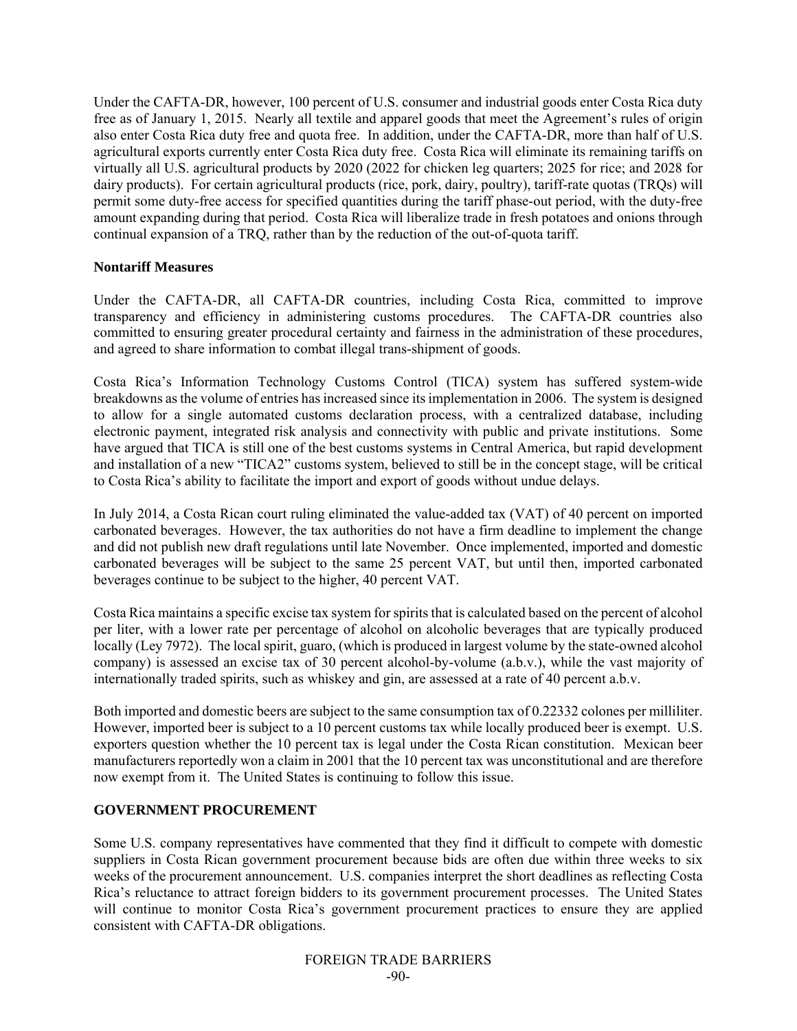Under the CAFTA-DR, however, 100 percent of U.S. consumer and industrial goods enter Costa Rica duty free as of January 1, 2015. Nearly all textile and apparel goods that meet the Agreement's rules of origin also enter Costa Rica duty free and quota free. In addition, under the CAFTA-DR, more than half of U.S. agricultural exports currently enter Costa Rica duty free. Costa Rica will eliminate its remaining tariffs on virtually all U.S. agricultural products by 2020 (2022 for chicken leg quarters; 2025 for rice; and 2028 for dairy products). For certain agricultural products (rice, pork, dairy, poultry), tariff-rate quotas (TRQs) will permit some duty-free access for specified quantities during the tariff phase-out period, with the duty-free amount expanding during that period. Costa Rica will liberalize trade in fresh potatoes and onions through continual expansion of a TRQ, rather than by the reduction of the out-of-quota tariff.

## **Nontariff Measures**

Under the CAFTA-DR, all CAFTA-DR countries, including Costa Rica, committed to improve transparency and efficiency in administering customs procedures. The CAFTA-DR countries also committed to ensuring greater procedural certainty and fairness in the administration of these procedures, and agreed to share information to combat illegal trans-shipment of goods.

Costa Rica's Information Technology Customs Control (TICA) system has suffered system-wide breakdowns as the volume of entries has increased since its implementation in 2006. The system is designed to allow for a single automated customs declaration process, with a centralized database, including electronic payment, integrated risk analysis and connectivity with public and private institutions. Some have argued that TICA is still one of the best customs systems in Central America, but rapid development and installation of a new "TICA2" customs system, believed to still be in the concept stage, will be critical to Costa Rica's ability to facilitate the import and export of goods without undue delays.

In July 2014, a Costa Rican court ruling eliminated the value-added tax (VAT) of 40 percent on imported carbonated beverages. However, the tax authorities do not have a firm deadline to implement the change and did not publish new draft regulations until late November. Once implemented, imported and domestic carbonated beverages will be subject to the same 25 percent VAT, but until then, imported carbonated beverages continue to be subject to the higher, 40 percent VAT.

Costa Rica maintains a specific excise tax system for spirits that is calculated based on the percent of alcohol per liter, with a lower rate per percentage of alcohol on alcoholic beverages that are typically produced locally (Ley 7972). The local spirit, guaro, (which is produced in largest volume by the state-owned alcohol company) is assessed an excise tax of 30 percent alcohol-by-volume (a.b.v.), while the vast majority of internationally traded spirits, such as whiskey and gin, are assessed at a rate of 40 percent a.b.v.

Both imported and domestic beers are subject to the same consumption tax of 0.22332 colones per milliliter. However, imported beer is subject to a 10 percent customs tax while locally produced beer is exempt. U.S. exporters question whether the 10 percent tax is legal under the Costa Rican constitution. Mexican beer manufacturers reportedly won a claim in 2001 that the 10 percent tax was unconstitutional and are therefore now exempt from it. The United States is continuing to follow this issue.

## **GOVERNMENT PROCUREMENT**

Some U.S. company representatives have commented that they find it difficult to compete with domestic suppliers in Costa Rican government procurement because bids are often due within three weeks to six weeks of the procurement announcement. U.S. companies interpret the short deadlines as reflecting Costa Rica's reluctance to attract foreign bidders to its government procurement processes. The United States will continue to monitor Costa Rica's government procurement practices to ensure they are applied consistent with CAFTA-DR obligations.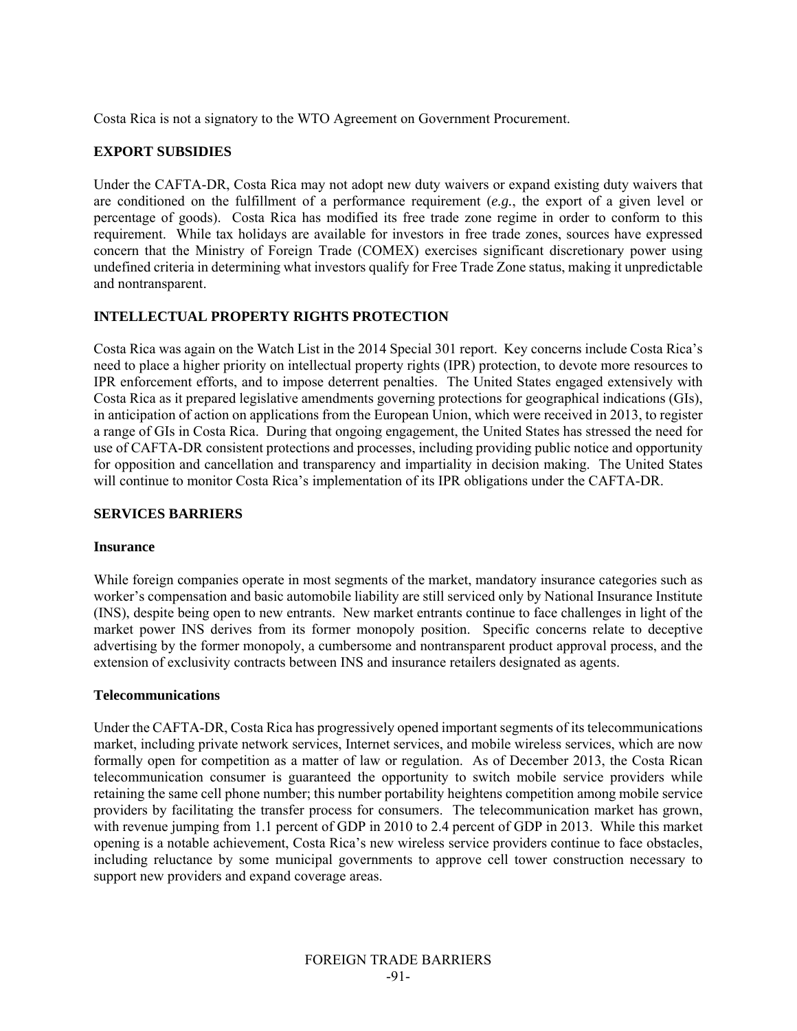Costa Rica is not a signatory to the WTO Agreement on Government Procurement.

# **EXPORT SUBSIDIES**

Under the CAFTA-DR, Costa Rica may not adopt new duty waivers or expand existing duty waivers that are conditioned on the fulfillment of a performance requirement (*e.g.*, the export of a given level or percentage of goods). Costa Rica has modified its free trade zone regime in order to conform to this requirement. While tax holidays are available for investors in free trade zones, sources have expressed concern that the Ministry of Foreign Trade (COMEX) exercises significant discretionary power using undefined criteria in determining what investors qualify for Free Trade Zone status, making it unpredictable and nontransparent.

# **INTELLECTUAL PROPERTY RIGHTS PROTECTION**

Costa Rica was again on the Watch List in the 2014 Special 301 report. Key concerns include Costa Rica's need to place a higher priority on intellectual property rights (IPR) protection, to devote more resources to IPR enforcement efforts, and to impose deterrent penalties. The United States engaged extensively with Costa Rica as it prepared legislative amendments governing protections for geographical indications (GIs), in anticipation of action on applications from the European Union, which were received in 2013, to register a range of GIs in Costa Rica. During that ongoing engagement, the United States has stressed the need for use of CAFTA-DR consistent protections and processes, including providing public notice and opportunity for opposition and cancellation and transparency and impartiality in decision making. The United States will continue to monitor Costa Rica's implementation of its IPR obligations under the CAFTA-DR.

#### **SERVICES BARRIERS**

#### **Insurance**

While foreign companies operate in most segments of the market, mandatory insurance categories such as worker's compensation and basic automobile liability are still serviced only by National Insurance Institute (INS), despite being open to new entrants. New market entrants continue to face challenges in light of the market power INS derives from its former monopoly position. Specific concerns relate to deceptive advertising by the former monopoly, a cumbersome and nontransparent product approval process, and the extension of exclusivity contracts between INS and insurance retailers designated as agents.

## **Telecommunications**

Under the CAFTA-DR, Costa Rica has progressively opened important segments of its telecommunications market, including private network services, Internet services, and mobile wireless services, which are now formally open for competition as a matter of law or regulation. As of December 2013, the Costa Rican telecommunication consumer is guaranteed the opportunity to switch mobile service providers while retaining the same cell phone number; this number portability heightens competition among mobile service providers by facilitating the transfer process for consumers. The telecommunication market has grown, with revenue jumping from 1.1 percent of GDP in 2010 to 2.4 percent of GDP in 2013. While this market opening is a notable achievement, Costa Rica's new wireless service providers continue to face obstacles, including reluctance by some municipal governments to approve cell tower construction necessary to support new providers and expand coverage areas.